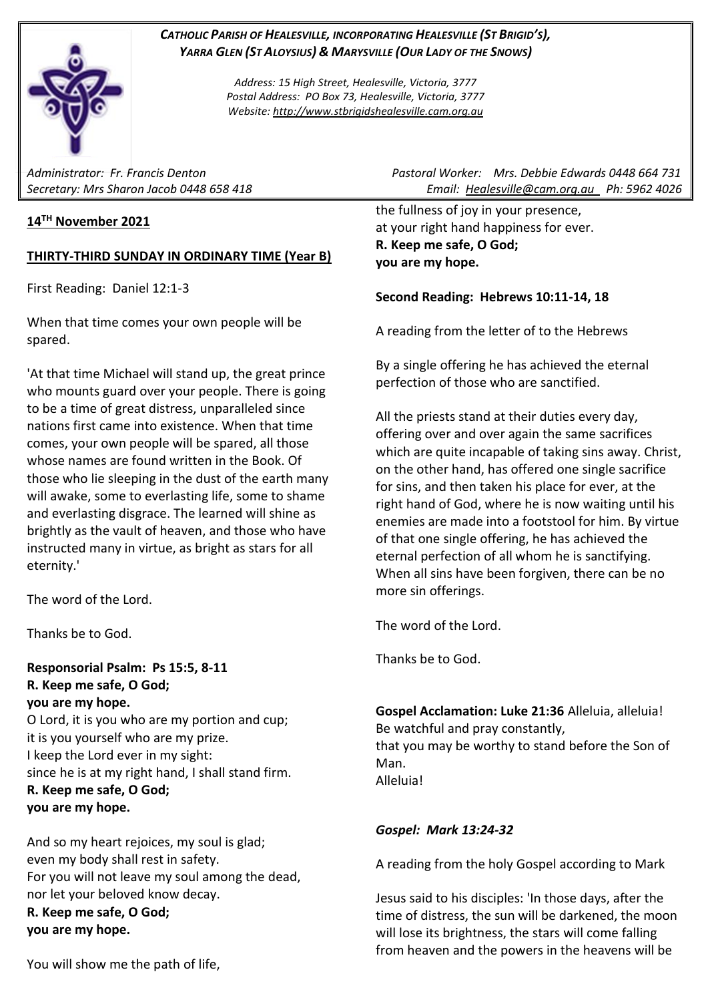

*CATHOLIC PARISH OF HEALESVILLE, INCORPORATING HEALESVILLE (ST BRIGID'S), YARRA GLEN (ST ALOYSIUS) & MARYSVILLE (OUR LADY OF THE SNOWS)*

> *Address: 15 High Street, Healesville, Victoria, 3777 Postal Address: PO Box 73, Healesville, Victoria, 3777 Website: [http://www.stbrigidshealesville.cam.org.au](http://www.stbrigidshealesville.cam.org.au/)*

# **14TH November 2021**

## **THIRTY-THIRD SUNDAY IN ORDINARY TIME (Year B)**

First Reading: Daniel 12:1-3

When that time comes your own people will be spared.

'At that time Michael will stand up, the great prince who mounts guard over your people. There is going to be a time of great distress, unparalleled since nations first came into existence. When that time comes, your own people will be spared, all those whose names are found written in the Book. Of those who lie sleeping in the dust of the earth many will awake, some to everlasting life, some to shame and everlasting disgrace. The learned will shine as brightly as the vault of heaven, and those who have instructed many in virtue, as bright as stars for all eternity.'

The word of the Lord.

Thanks be to God.

**Responsorial Psalm: Ps 15:5, 8-11 R. Keep me safe, O God; you are my hope.**

O Lord, it is you who are my portion and cup; it is you yourself who are my prize. I keep the Lord ever in my sight: since he is at my right hand, I shall stand firm. **R. Keep me safe, O God; you are my hope.**

And so my heart rejoices, my soul is glad; even my body shall rest in safety. For you will not leave my soul among the dead, nor let your beloved know decay. **R. Keep me safe, O God; you are my hope.**

*Administrator: Fr. Francis Denton Pastoral Worker: Mrs. Debbie Edwards 0448 664 731 Secretary: Mrs Sharon Jacob 0448 658 418 Email: [Healesville@cam.org.au](mailto:Healesville@cam.org.au) Ph: 5962 4026* 

> the fullness of joy in your presence, at your right hand happiness for ever. **R. Keep me safe, O God; you are my hope.**

## **Second Reading: Hebrews 10:11-14, 18**

A reading from the letter of to the Hebrews

By a single offering he has achieved the eternal perfection of those who are sanctified.

All the priests stand at their duties every day, offering over and over again the same sacrifices which are quite incapable of taking sins away. Christ, on the other hand, has offered one single sacrifice for sins, and then taken his place for ever, at the right hand of God, where he is now waiting until his enemies are made into a footstool for him. By virtue of that one single offering, he has achieved the eternal perfection of all whom he is sanctifying. When all sins have been forgiven, there can be no more sin offerings.

The word of the Lord.

Thanks be to God.

**Gospel Acclamation: Luke 21:36** Alleluia, alleluia! Be watchful and pray constantly, that you may be worthy to stand before the Son of Man. Alleluia!

### *Gospel: Mark 13:24-32*

A reading from the holy Gospel according to Mark

Jesus said to his disciples: 'In those days, after the time of distress, the sun will be darkened, the moon will lose its brightness, the stars will come falling from heaven and the powers in the heavens will be

You will show me the path of life,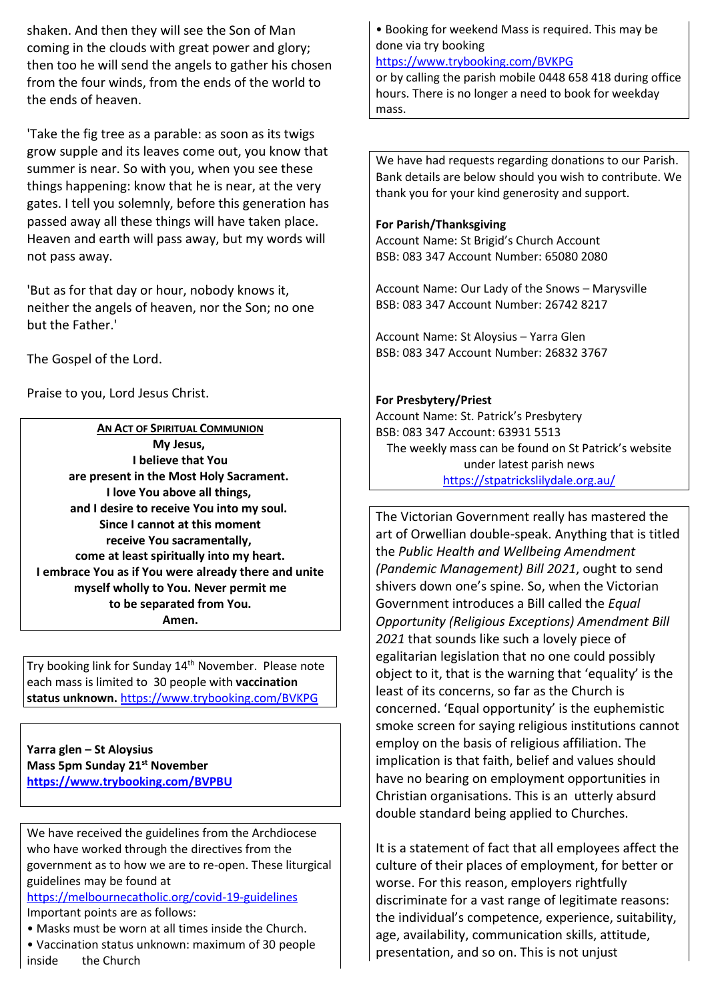shaken. And then they will see the Son of Man coming in the clouds with great power and glory; then too he will send the angels to gather his chosen from the four winds, from the ends of the world to the ends of heaven.

'Take the fig tree as a parable: as soon as its twigs grow supple and its leaves come out, you know that summer is near. So with you, when you see these things happening: know that he is near, at the very gates. I tell you solemnly, before this generation has passed away all these things will have taken place. Heaven and earth will pass away, but my words will not pass away.

'But as for that day or hour, nobody knows it, neither the angels of heaven, nor the Son; no one but the Father.'

The Gospel of the Lord.

Praise to you, Lord Jesus Christ.

**AN ACT OF SPIRITUAL COMMUNION My Jesus, I believe that You are present in the Most Holy Sacrament. I love You above all things, and I desire to receive You into my soul. Since I cannot at this moment receive You sacramentally, come at least spiritually into my heart. I embrace You as if You were already there and unite myself wholly to You. Never permit me to be separated from You. Amen.**

Try booking link for Sunday 14th November. Please note each mass is limited to 30 people with **vaccination status unknown.** <https://www.trybooking.com/BVKPG>

**Yarra glen – St Aloysius Mass 5pm Sunday 21st November <https://www.trybooking.com/BVPBU>**

We have received the guidelines from the Archdiocese who have worked through the directives from the government as to how we are to re-open. These liturgical guidelines may be found at

[https://melbournecatholic.org/covid-19-guidelines](https://melbournecatholic.org/covid-19-guidelines?fbclid=IwAR1ryINANYNplkq8jXs_Q175fnIfOaiQY-g_IIeSrTVc6diDyY0Ozs3vwKc) Important points are as follows:

- Masks must be worn at all times inside the Church.
- Vaccination status unknown: maximum of 30 people inside the Church

• Booking for weekend Mass is required. This may be done via try booking

<https://www.trybooking.com/BVKPG>

or by calling the parish mobile 0448 658 418 during office hours. There is no longer a need to book for weekday mass.

We have had requests regarding donations to our Parish. Bank details are below should you wish to contribute. We thank you for your kind generosity and support.

#### **For Parish/Thanksgiving**

Account Name: St Brigid's Church Account BSB: 083 347 Account Number: 65080 2080

Account Name: Our Lady of the Snows – Marysville BSB: 083 347 Account Number: 26742 8217

Account Name: St Aloysius – Yarra Glen BSB: 083 347 Account Number: 26832 3767

### **For Presbytery/Priest**

Account Name: St. Patrick's Presbytery BSB: 083 347 Account: 63931 5513 The weekly mass can be found on St Patrick's website under latest parish news <https://stpatrickslilydale.org.au/>

The Victorian Government really has mastered the art of Orwellian double-speak. Anything that is titled the *Public Health and Wellbeing Amendment (Pandemic Management) Bill 2021*, ought to send shivers down one's spine. So, when the Victorian Government introduces a Bill called the *Equal Opportunity (Religious Exceptions) Amendment Bill 2021* that sounds like such a lovely piece of egalitarian legislation that no one could possibly object to it, that is the warning that 'equality' is the least of its concerns, so far as the Church is concerned. 'Equal opportunity' is the euphemistic smoke screen for saying religious institutions cannot employ on the basis of religious affiliation. The implication is that faith, belief and values should have no bearing on employment opportunities in Christian organisations. This is an utterly absurd double standard being applied to Churches.

It is a statement of fact that all employees affect the culture of their places of employment, for better or worse. For this reason, employers rightfully discriminate for a vast range of legitimate reasons: the individual's competence, experience, suitability, age, availability, communication skills, attitude, presentation, and so on. This is not unjust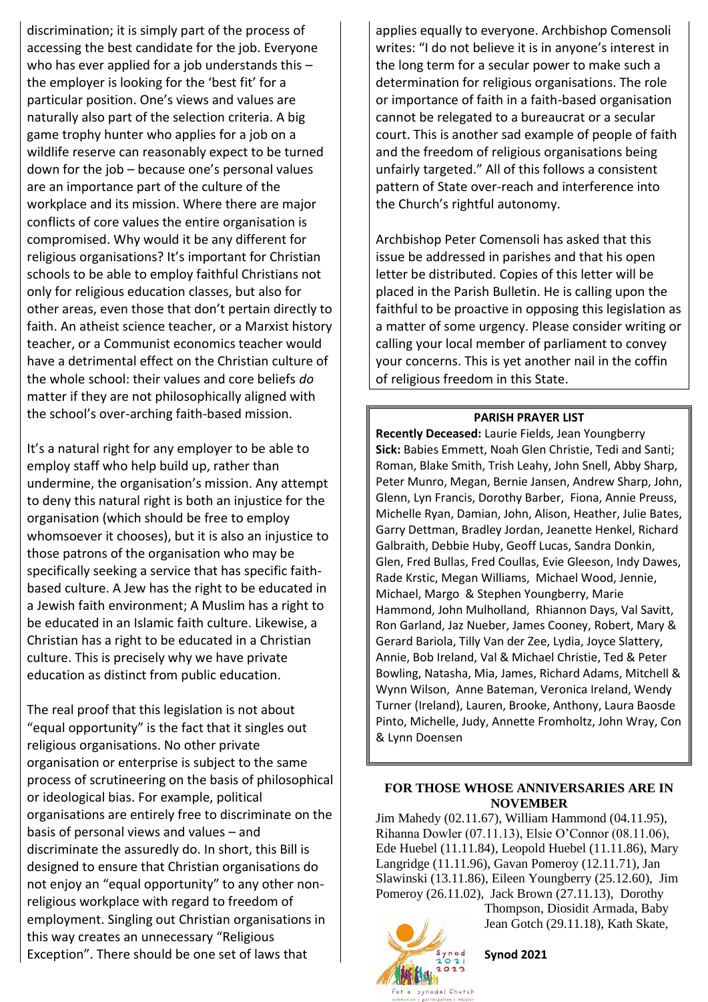discrimination; it is simply part of the process of accessing the best candidate for the job. Everyone who has ever applied for a job understands this the employer is looking for the 'best fit' for a particular position. One's views and values are naturally also part of the selection criteria. A big game trophy hunter who applies for a job on a wildlife reserve can reasonably expect to be turned down for the job – because one's personal values are an importance part of the culture of the workplace and its mission. Where there are major conflicts of core values the entire organisation is compromised. Why would it be any different for religious organisations? It's important for Christian schools to be able to employ faithful Christians not only for religious education classes, but also for other areas, even those that don't pertain directly to faith. An atheist science teacher, or a Marxist history teacher, or a Communist economics teacher would have a detrimental effect on the Christian culture of the whole school: their values and core beliefs *do* matter if they are not philosophically aligned with the school's over-arching faith-based mission.

It's a natural right for any employer to be able to employ staff who help build up, rather than undermine, the organisation's mission. Any attempt to deny this natural right is both an injustice for the organisation (which should be free to employ whomsoever it chooses), but it is also an injustice to those patrons of the organisation who may be specifically seeking a service that has specific faithbased culture. A Jew has the right to be educated in a Jewish faith environment; A Muslim has a right to be educated in an Islamic faith culture. Likewise, a Christian has a right to be educated in a Christian culture. This is precisely why we have private education as distinct from public education.

The real proof that this legislation is not about "equal opportunity" is the fact that it singles out religious organisations. No other private organisation or enterprise is subject to the same process of scrutineering on the basis of philosophical or ideological bias. For example, political organisations are entirely free to discriminate on the basis of personal views and values – and discriminate the assuredly do. In short, this Bill is designed to ensure that Christian organisations do not enjoy an "equal opportunity" to any other nonreligious workplace with regard to freedom of employment. Singling out Christian organisations in this way creates an unnecessary "Religious Exception". There should be one set of laws that

applies equally to everyone. Archbishop Comensoli writes: "I do not believe it is in anyone's interest in the long term for a secular power to make such a determination for religious organisations. The role or importance of faith in a faith-based organisation cannot be relegated to a bureaucrat or a secular court. This is another sad example of people of faith and the freedom of religious organisations being unfairly targeted." All of this follows a consistent pattern of State over-reach and interference into the Church's rightful autonomy.

Archbishop Peter Comensoli has asked that this issue be addressed in parishes and that his open letter be distributed. Copies of this letter will be placed in the Parish Bulletin. He is calling upon the faithful to be proactive in opposing this legislation as a matter of some urgency. Please consider writing or calling your local member of parliament to convey your concerns. This is yet another nail in the coffin of religious freedom in this State.

#### **PARISH PRAYER LIST**

**Recently Deceased:** Laurie Fields, Jean Youngberry **Sick:** Babies Emmett, Noah Glen Christie, Tedi and Santi; Roman, Blake Smith, Trish Leahy, John Snell, Abby Sharp, Peter Munro, Megan, Bernie Jansen, Andrew Sharp, John, Glenn, Lyn Francis, Dorothy Barber, Fiona, Annie Preuss, Michelle Ryan, Damian, John, Alison, Heather, Julie Bates, Garry Dettman, Bradley Jordan, Jeanette Henkel, Richard Galbraith, Debbie Huby, Geoff Lucas, Sandra Donkin, Glen, Fred Bullas, Fred Coullas, Evie Gleeson, Indy Dawes, Rade Krstic, Megan Williams, Michael Wood, Jennie, Michael, Margo & Stephen Youngberry, Marie Hammond, John Mulholland, Rhiannon Days, Val Savitt, Ron Garland, Jaz Nueber, James Cooney, Robert, Mary & Gerard Bariola, Tilly Van der Zee, Lydia, Joyce Slattery, Annie, Bob Ireland, Val & Michael Christie, Ted & Peter Bowling, Natasha, Mia, James, Richard Adams, Mitchell & Wynn Wilson, Anne Bateman, Veronica Ireland, Wendy Turner (Ireland), Lauren, Brooke, Anthony, Laura Baosde Pinto, Michelle, Judy, Annette Fromholtz, John Wray, Con & Lynn Doensen

#### **FOR THOSE WHOSE ANNIVERSARIES ARE IN NOVEMBER**

Jim Mahedy (02.11.67), William Hammond (04.11.95), Rihanna Dowler (07.11.13), Elsie O'Connor (08.11.06), Ede Huebel (11.11.84), Leopold Huebel (11.11.86), Mary Langridge (11.11.96), Gavan Pomeroy (12.11.71), Jan Slawinski (13.11.86), Eileen Youngberry (25.12.60), Jim Pomeroy (26.11.02), Jack Brown (27.11.13), Dorothy

Thompson, Diosidit Armada, Baby Jean Gotch (29.11.18), Kath Skate,